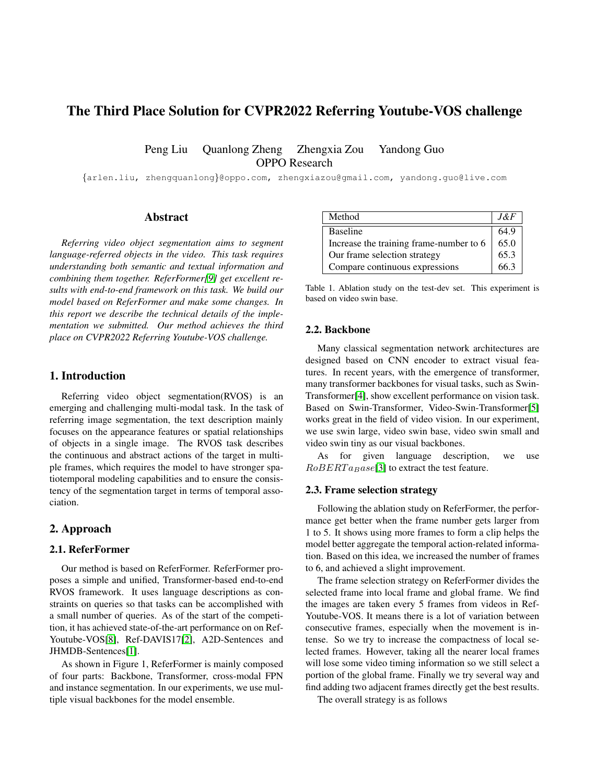# The Third Place Solution for CVPR2022 Referring Youtube-VOS challenge

Peng Liu Quanlong Zheng Zhengxia Zou Yandong Guo OPPO Research

{arlen.liu, zhengquanlong}@oppo.com, zhengxiazou@gmail.com, yandong.guo@live.com

## Abstract

*Referring video object segmentation aims to segment language-referred objects in the video. This task requires understanding both semantic and textual information and combining them together. ReferFormer[\[9\]](#page-2-0) get excellent results with end-to-end framework on this task. We build our model based on ReferFormer and make some changes. In this report we describe the technical details of the implementation we submitted. Our method achieves the third place on CVPR2022 Referring Youtube-VOS challenge.*

## 1. Introduction

Referring video object segmentation(RVOS) is an emerging and challenging multi-modal task. In the task of referring image segmentation, the text description mainly focuses on the appearance features or spatial relationships of objects in a single image. The RVOS task describes the continuous and abstract actions of the target in multiple frames, which requires the model to have stronger spatiotemporal modeling capabilities and to ensure the consistency of the segmentation target in terms of temporal association.

#### 2. Approach

## 2.1. ReferFormer

Our method is based on ReferFormer. ReferFormer proposes a simple and unified, Transformer-based end-to-end RVOS framework. It uses language descriptions as constraints on queries so that tasks can be accomplished with a small number of queries. As of the start of the competition, it has achieved state-of-the-art performance on on Ref-Youtube-VOS[\[8\]](#page-2-1), Ref-DAVIS17[\[2\]](#page-2-2), A2D-Sentences and JHMDB-Sentences[\[1\]](#page-2-3).

As shown in Figure 1, ReferFormer is mainly composed of four parts: Backbone, Transformer, cross-modal FPN and instance segmentation. In our experiments, we use multiple visual backbones for the model ensemble.

| Method                                  | .I&F |
|-----------------------------------------|------|
| <b>Baseline</b>                         | 64.9 |
| Increase the training frame-number to 6 | 65.0 |
| Our frame selection strategy            | 65.3 |
| Compare continuous expressions          | 66.3 |

Table 1. Ablation study on the test-dev set. This experiment is based on video swin base.

#### 2.2. Backbone

Many classical segmentation network architectures are designed based on CNN encoder to extract visual features. In recent years, with the emergence of transformer, many transformer backbones for visual tasks, such as Swin-Transformer[\[4\]](#page-2-4), show excellent performance on vision task. Based on Swin-Transformer, Video-Swin-Transformer[\[5\]](#page-2-5) works great in the field of video vision. In our experiment, we use swin large, video swin base, video swin small and video swin tiny as our visual backbones.

As for given language description, we use  $RoBERTa_Base[3]$  $RoBERTa_Base[3]$  to extract the test feature.

#### 2.3. Frame selection strategy

Following the ablation study on ReferFormer, the performance get better when the frame number gets larger from 1 to 5. It shows using more frames to form a clip helps the model better aggregate the temporal action-related information. Based on this idea, we increased the number of frames to 6, and achieved a slight improvement.

The frame selection strategy on ReferFormer divides the selected frame into local frame and global frame. We find the images are taken every 5 frames from videos in Ref-Youtube-VOS. It means there is a lot of variation between consecutive frames, especially when the movement is intense. So we try to increase the compactness of local selected frames. However, taking all the nearer local frames will lose some video timing information so we still select a portion of the global frame. Finally we try several way and find adding two adjacent frames directly get the best results.

The overall strategy is as follows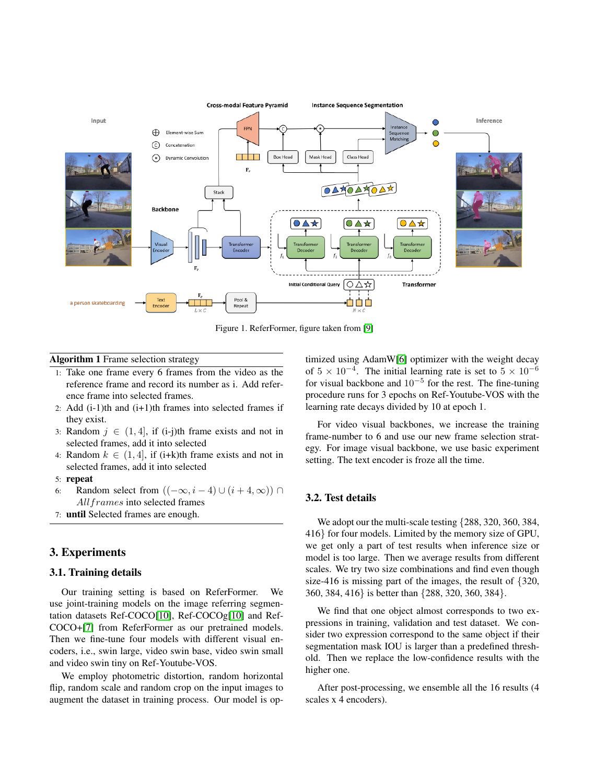

Figure 1. ReferFormer, figure taken from [\[9\]](#page-2-0)

## Algorithm 1 Frame selection strategy

- 1: Take one frame every 6 frames from the video as the reference frame and record its number as i. Add reference frame into selected frames.
- 2: Add  $(i-1)$ th and  $(i+1)$ th frames into selected frames if they exist.
- 3: Random  $j \in (1, 4]$ , if (i-j)th frame exists and not in selected frames, add it into selected
- 4: Random  $k \in (1, 4]$ , if (i+k)th frame exists and not in selected frames, add it into selected

#### 5: repeat

- 6: Random select from  $((-\infty, i-4) \cup (i+4, \infty)) \cap$ All frames into selected frames
- 7: until Selected frames are enough.

## 3. Experiments

## 3.1. Training details

Our training setting is based on ReferFormer. use joint-training models on the image referring segmentation datasets Ref-COCO[\[10\]](#page-2-7), Ref-COCOg[\[10\]](#page-2-7) and Ref-COCO+[\[7\]](#page-2-8) from ReferFormer as our pretrained models. Then we fine-tune four models with different visual encoders, i.e., swin large, video swin base, video swin small and video swin tiny on Ref-Youtube-VOS.

We employ photometric distortion, random horizontal flip, random scale and random crop on the input images to augment the dataset in training process. Our model is optimized using AdamW[\[6\]](#page-2-9) optimizer with the weight decay of  $5 \times 10^{-4}$ . The initial learning rate is set to  $5 \times 10^{-6}$ for visual backbone and  $10^{-5}$  for the rest. The fine-tuning procedure runs for 3 epochs on Ref-Youtube-VOS with the learning rate decays divided by 10 at epoch 1.

For video visual backbones, we increase the training frame-number to 6 and use our new frame selection strategy. For image visual backbone, we use basic experiment setting. The text encoder is froze all the time.

## 3.2. Test details

We adopt our the multi-scale testing  $\{288, 320, 360, 384,$ 416} for four models. Limited by the memory size of GPU, we get only a part of test results when inference size or model is too large. Then we average results from different scales. We try two size combinations and find even though size-416 is missing part of the images, the result of {320, 360, 384, 416} is better than {288, 320, 360, 384}.

We find that one object almost corresponds to two expressions in training, validation and test dataset. We consider two expression correspond to the same object if their segmentation mask IOU is larger than a predefined threshold. Then we replace the low-confidence results with the higher one.

After post-processing, we ensemble all the 16 results (4 scales x 4 encoders).